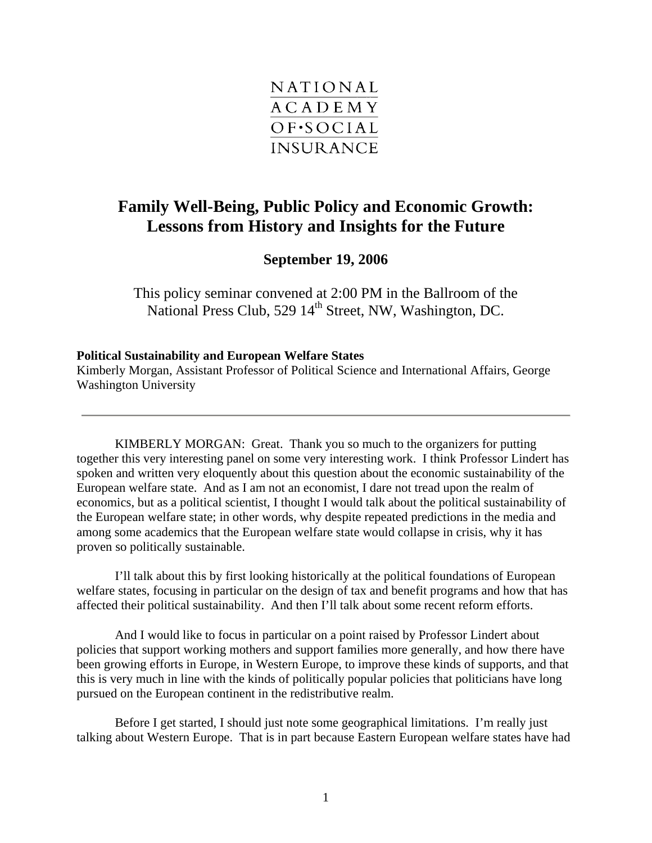

## **Family Well-Being, Public Policy and Economic Growth: Lessons from History and Insights for the Future**

**September 19, 2006** 

This policy seminar convened at 2:00 PM in the Ballroom of the National Press Club, 529 14<sup>th</sup> Street, NW, Washington, DC.

## **Political Sustainability and European Welfare States**

Kimberly Morgan, Assistant Professor of Political Science and International Affairs, George Washington University

KIMBERLY MORGAN: Great. Thank you so much to the organizers for putting together this very interesting panel on some very interesting work. I think Professor Lindert has spoken and written very eloquently about this question about the economic sustainability of the European welfare state. And as I am not an economist, I dare not tread upon the realm of economics, but as a political scientist, I thought I would talk about the political sustainability of the European welfare state; in other words, why despite repeated predictions in the media and among some academics that the European welfare state would collapse in crisis, why it has proven so politically sustainable.

I'll talk about this by first looking historically at the political foundations of European welfare states, focusing in particular on the design of tax and benefit programs and how that has affected their political sustainability. And then I'll talk about some recent reform efforts.

And I would like to focus in particular on a point raised by Professor Lindert about policies that support working mothers and support families more generally, and how there have been growing efforts in Europe, in Western Europe, to improve these kinds of supports, and that this is very much in line with the kinds of politically popular policies that politicians have long pursued on the European continent in the redistributive realm.

Before I get started, I should just note some geographical limitations. I'm really just talking about Western Europe. That is in part because Eastern European welfare states have had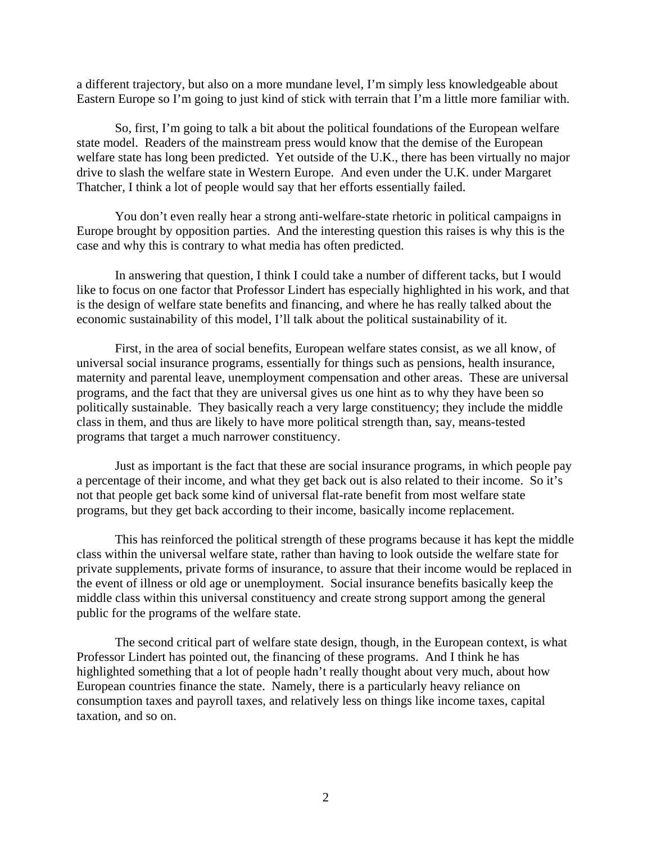a different trajectory, but also on a more mundane level, I'm simply less knowledgeable about Eastern Europe so I'm going to just kind of stick with terrain that I'm a little more familiar with.

So, first, I'm going to talk a bit about the political foundations of the European welfare state model. Readers of the mainstream press would know that the demise of the European welfare state has long been predicted. Yet outside of the U.K., there has been virtually no major drive to slash the welfare state in Western Europe. And even under the U.K. under Margaret Thatcher, I think a lot of people would say that her efforts essentially failed.

You don't even really hear a strong anti-welfare-state rhetoric in political campaigns in Europe brought by opposition parties. And the interesting question this raises is why this is the case and why this is contrary to what media has often predicted.

In answering that question, I think I could take a number of different tacks, but I would like to focus on one factor that Professor Lindert has especially highlighted in his work, and that is the design of welfare state benefits and financing, and where he has really talked about the economic sustainability of this model, I'll talk about the political sustainability of it.

First, in the area of social benefits, European welfare states consist, as we all know, of universal social insurance programs, essentially for things such as pensions, health insurance, maternity and parental leave, unemployment compensation and other areas. These are universal programs, and the fact that they are universal gives us one hint as to why they have been so politically sustainable. They basically reach a very large constituency; they include the middle class in them, and thus are likely to have more political strength than, say, means-tested programs that target a much narrower constituency.

Just as important is the fact that these are social insurance programs, in which people pay a percentage of their income, and what they get back out is also related to their income. So it's not that people get back some kind of universal flat-rate benefit from most welfare state programs, but they get back according to their income, basically income replacement.

This has reinforced the political strength of these programs because it has kept the middle class within the universal welfare state, rather than having to look outside the welfare state for private supplements, private forms of insurance, to assure that their income would be replaced in the event of illness or old age or unemployment. Social insurance benefits basically keep the middle class within this universal constituency and create strong support among the general public for the programs of the welfare state.

The second critical part of welfare state design, though, in the European context, is what Professor Lindert has pointed out, the financing of these programs. And I think he has highlighted something that a lot of people hadn't really thought about very much, about how European countries finance the state. Namely, there is a particularly heavy reliance on consumption taxes and payroll taxes, and relatively less on things like income taxes, capital taxation, and so on.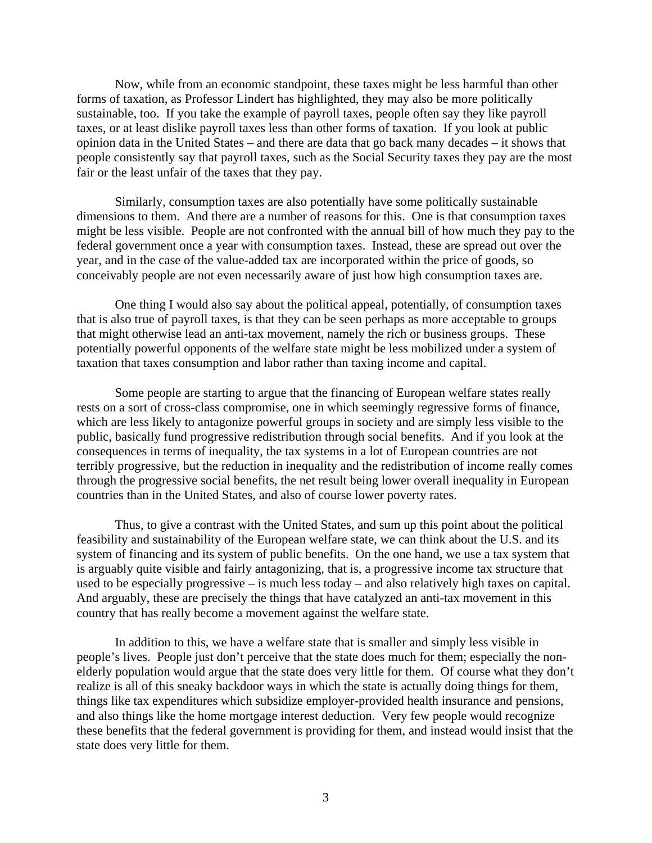Now, while from an economic standpoint, these taxes might be less harmful than other forms of taxation, as Professor Lindert has highlighted, they may also be more politically sustainable, too. If you take the example of payroll taxes, people often say they like payroll taxes, or at least dislike payroll taxes less than other forms of taxation. If you look at public opinion data in the United States – and there are data that go back many decades – it shows that people consistently say that payroll taxes, such as the Social Security taxes they pay are the most fair or the least unfair of the taxes that they pay.

Similarly, consumption taxes are also potentially have some politically sustainable dimensions to them. And there are a number of reasons for this. One is that consumption taxes might be less visible. People are not confronted with the annual bill of how much they pay to the federal government once a year with consumption taxes. Instead, these are spread out over the year, and in the case of the value-added tax are incorporated within the price of goods, so conceivably people are not even necessarily aware of just how high consumption taxes are.

One thing I would also say about the political appeal, potentially, of consumption taxes that is also true of payroll taxes, is that they can be seen perhaps as more acceptable to groups that might otherwise lead an anti-tax movement, namely the rich or business groups. These potentially powerful opponents of the welfare state might be less mobilized under a system of taxation that taxes consumption and labor rather than taxing income and capital.

Some people are starting to argue that the financing of European welfare states really rests on a sort of cross-class compromise, one in which seemingly regressive forms of finance, which are less likely to antagonize powerful groups in society and are simply less visible to the public, basically fund progressive redistribution through social benefits. And if you look at the consequences in terms of inequality, the tax systems in a lot of European countries are not terribly progressive, but the reduction in inequality and the redistribution of income really comes through the progressive social benefits, the net result being lower overall inequality in European countries than in the United States, and also of course lower poverty rates.

Thus, to give a contrast with the United States, and sum up this point about the political feasibility and sustainability of the European welfare state, we can think about the U.S. and its system of financing and its system of public benefits. On the one hand, we use a tax system that is arguably quite visible and fairly antagonizing, that is, a progressive income tax structure that used to be especially progressive – is much less today – and also relatively high taxes on capital. And arguably, these are precisely the things that have catalyzed an anti-tax movement in this country that has really become a movement against the welfare state.

In addition to this, we have a welfare state that is smaller and simply less visible in people's lives. People just don't perceive that the state does much for them; especially the nonelderly population would argue that the state does very little for them. Of course what they don't realize is all of this sneaky backdoor ways in which the state is actually doing things for them, things like tax expenditures which subsidize employer-provided health insurance and pensions, and also things like the home mortgage interest deduction. Very few people would recognize these benefits that the federal government is providing for them, and instead would insist that the state does very little for them.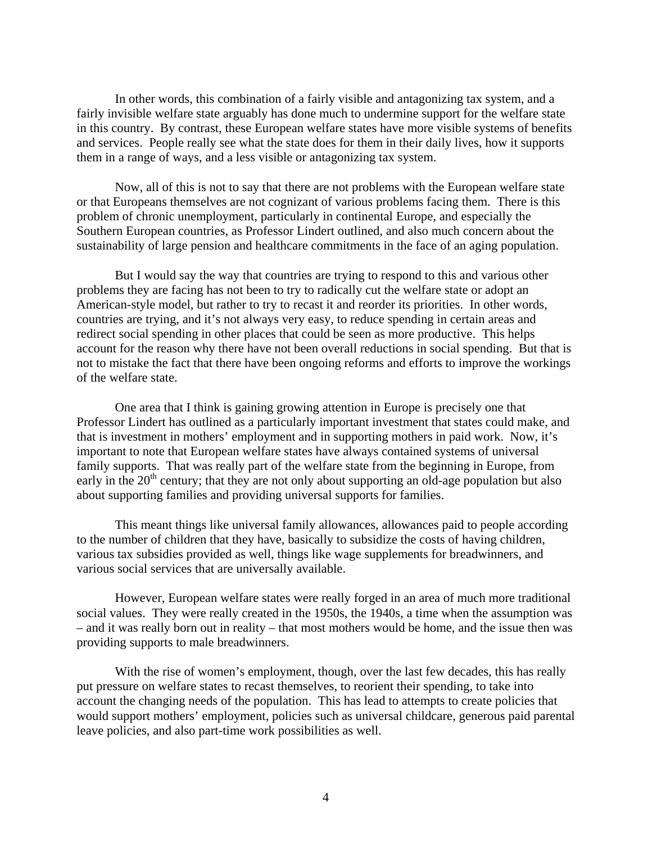In other words, this combination of a fairly visible and antagonizing tax system, and a fairly invisible welfare state arguably has done much to undermine support for the welfare state in this country. By contrast, these European welfare states have more visible systems of benefits and services. People really see what the state does for them in their daily lives, how it supports them in a range of ways, and a less visible or antagonizing tax system.

Now, all of this is not to say that there are not problems with the European welfare state or that Europeans themselves are not cognizant of various problems facing them. There is this problem of chronic unemployment, particularly in continental Europe, and especially the Southern European countries, as Professor Lindert outlined, and also much concern about the sustainability of large pension and healthcare commitments in the face of an aging population.

But I would say the way that countries are trying to respond to this and various other problems they are facing has not been to try to radically cut the welfare state or adopt an American-style model, but rather to try to recast it and reorder its priorities. In other words, countries are trying, and it's not always very easy, to reduce spending in certain areas and redirect social spending in other places that could be seen as more productive. This helps account for the reason why there have not been overall reductions in social spending. But that is not to mistake the fact that there have been ongoing reforms and efforts to improve the workings of the welfare state.

One area that I think is gaining growing attention in Europe is precisely one that Professor Lindert has outlined as a particularly important investment that states could make, and that is investment in mothers' employment and in supporting mothers in paid work. Now, it's important to note that European welfare states have always contained systems of universal family supports. That was really part of the welfare state from the beginning in Europe, from early in the  $20<sup>th</sup>$  century; that they are not only about supporting an old-age population but also about supporting families and providing universal supports for families.

This meant things like universal family allowances, allowances paid to people according to the number of children that they have, basically to subsidize the costs of having children, various tax subsidies provided as well, things like wage supplements for breadwinners, and various social services that are universally available.

However, European welfare states were really forged in an area of much more traditional social values. They were really created in the 1950s, the 1940s, a time when the assumption was – and it was really born out in reality – that most mothers would be home, and the issue then was providing supports to male breadwinners.

With the rise of women's employment, though, over the last few decades, this has really put pressure on welfare states to recast themselves, to reorient their spending, to take into account the changing needs of the population. This has lead to attempts to create policies that would support mothers' employment, policies such as universal childcare, generous paid parental leave policies, and also part-time work possibilities as well.